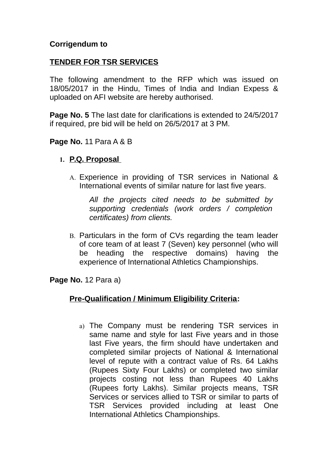#### **Corrigendum to**

#### **TENDER FOR TSR SERVICES**

The following amendment to the RFP which was issued on 18/05/2017 in the Hindu, Times of India and Indian Expess & uploaded on AFI website are hereby authorised.

**Page No. 5** The last date for clarifications is extended to 24/5/2017 if required, pre bid will be held on 26/5/2017 at 3 PM.

**Page No. 11 Para A & B** 

#### **1. P.Q. Proposal**

A. Experience in providing of TSR services in National & International events of similar nature for last five years.

All the projects cited needs to be submitted by supporting credentials (work orders / completion certificates) from clients.

B. Particulars in the form of CVs regarding the team leader of core team of at least 7 (Seven) key personnel (who will be heading the respective domains) having the experience of International Athletics Championships.

**Page No. 12 Para a)** 

#### **Pre-Qualification / Minimum Eligibility Criteria:**

a) The Company must be rendering TSR services in same name and style for last Five years and in those last Five years, the firm should have undertaken and completed similar projects of National & International level of repute with a contract value of Rs. 64 Lakhs (Rupees Sixty Four Lakhs) or completed two similar projects costing not less than Rupees 40 Lakhs (Rupees forty Lakhs). Similar projects means, TSR Services or services allied to TSR or similar to parts of TSR Services provided including at least One International Athletics Championships.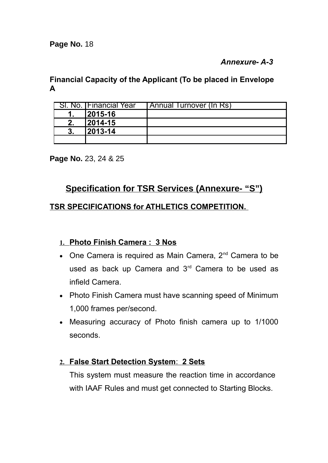*Annexure- A-3*

**Financial Capacity of the Applicant (To be placed in Envelope A**

| SI. No. [Financial Year] | Annual Turnover (In Rs) |
|--------------------------|-------------------------|
| 2015-16                  |                         |
| 2014-15                  |                         |
| 2013-14                  |                         |
|                          |                         |

**Page No.** 23, 24 & 25

# **Specification for TSR Services (Annexure- "S")**

### **TSR SPECIFICATIONS for ATHLETICS COMPETITION.**

### **1. Photo Finish Camera : 3 Nos**

- $\bullet$  One Camera is required as Main Camera,  $2^{nd}$  Camera to be used as back up Camera and 3<sup>rd</sup> Camera to be used as infield Camera.
- Photo Finish Camera must have scanning speed of Minimum 1,000 frames per/second.
- Measuring accuracy of Photo finish camera up to 1/1000 seconds.

### **2. False Start Detection System** : **2 Sets**

This system must measure the reaction time in accordance with IAAF Rules and must get connected to Starting Blocks.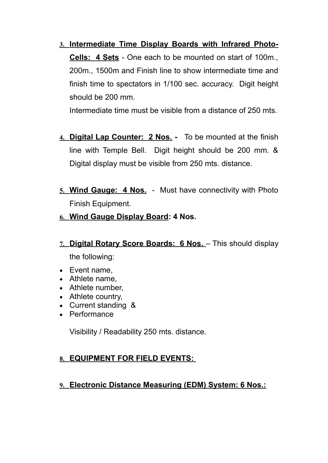**3. Intermediate Time Display Boards with Infrared Photo-Cells: 4 Sets** - One each to be mounted on start of 100m., 200m., 1500m and Finish line to show intermediate time and finish time to spectators in 1/100 sec. accuracy. Digit height should be 200 mm.

Intermediate time must be visible from a distance of 250 mts.

- **4. Digital Lap Counter: 2 Nos. -** To be mounted at the finish line with Temple Bell. Digit height should be 200 mm. & Digital display must be visible from 250 mts. distance.
- **5. Wind Gauge: 4 Nos.** Must have connectivity with Photo Finish Equipment.
- **6. Wind Gauge Display Board: 4 Nos.**
- **7. Digital Rotary Score Boards: 6 Nos.**  This should display the following:
- Event name,
- Athlete name.
- Athlete number,
- Athlete country,
- Current standing &
- Performance

Visibility / Readability 250 mts. distance.

### **8. EQUIPMENT FOR FIELD EVENTS:**

 **9. Electronic Distance Measuring (EDM) System: 6 Nos.:**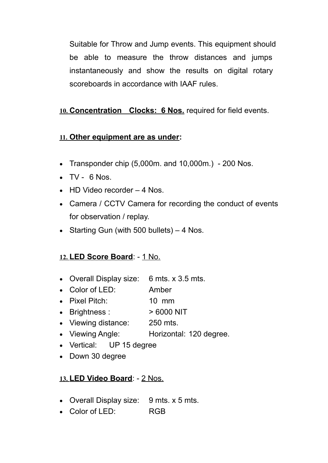Suitable for Throw and Jump events. This equipment should be able to measure the throw distances and jumps instantaneously and show the results on digital rotary scoreboards in accordance with IAAF rules.

# **10. Concentration Clocks: 6 Nos.** required for field events.

### **11. Other equipment are as under:**

- Transponder chip (5,000m. and 10,000m.) 200 Nos.
- $\bullet$  TV 6 Nos.
- HD Video recorder 4 Nos.
- Camera / CCTV Camera for recording the conduct of events for observation / replay.
- Starting Gun (with 500 bullets)  $-4$  Nos.

### **12. LED Score Board**: - 1 No.

- Overall Display size: 6 mts. x 3.5 mts.
- Color of LED: Amber
- Pixel Pitch: 10 mm
- $\bullet$  Brightness :  $> 6000$  NIT
- Viewing distance: 250 mts.
- Viewing Angle: Horizontal: 120 degree.
- Vertical: UP 15 degree
- Down 30 degree

### **13. LED Video Board**: - 2 Nos.

- Overall Display size: 9 mts. x 5 mts.
- Color of LED: RGB